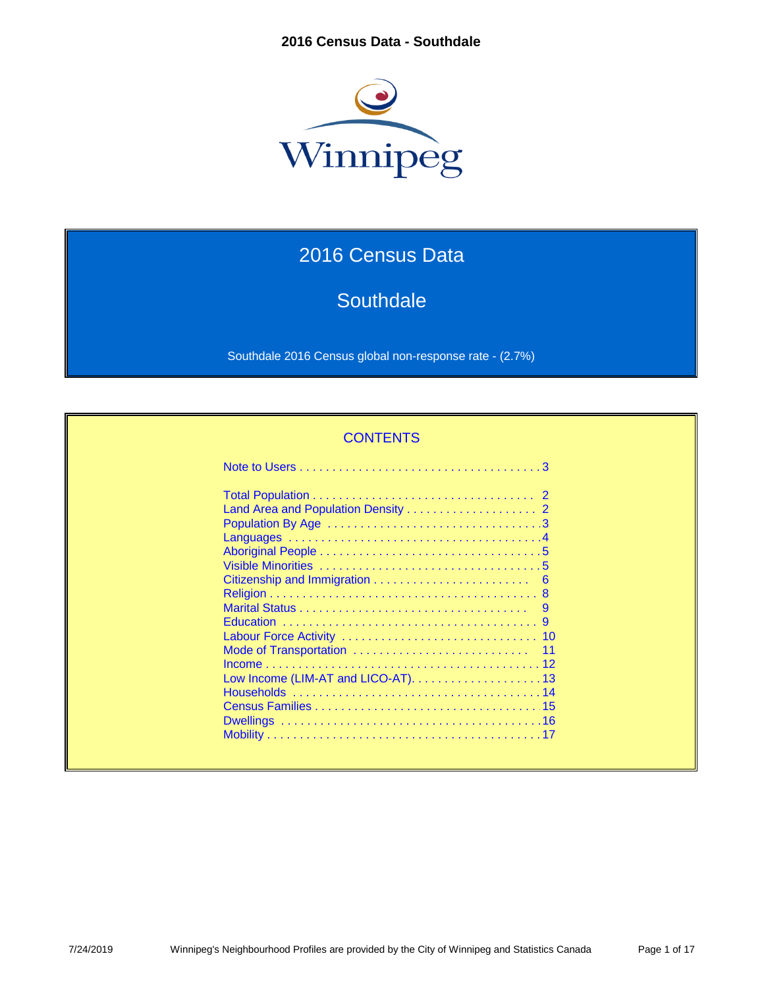

## 2016 Census Data

# **Southdale**

Southdale 2016 Census global non-response rate - (2.7%)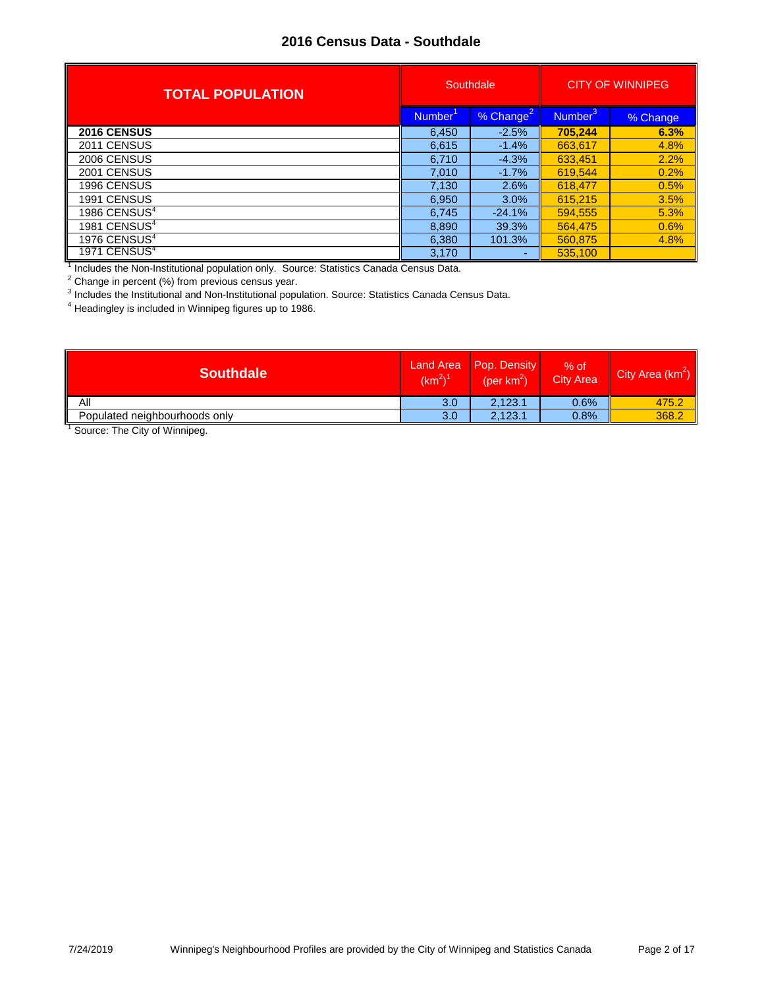| <b>TOTAL POPULATION</b>      |               | Southdale | <b>CITY OF WINNIPEG</b> |          |
|------------------------------|---------------|-----------|-------------------------|----------|
|                              | <b>Number</b> | % Change  | Number <sup>3</sup>     | % Change |
| 2016 CENSUS                  | 6,450         | $-2.5%$   | 705,244                 | 6.3%     |
| 2011 CENSUS                  | 6,615         | $-1.4%$   | 663.617                 | 4.8%     |
| 2006 CENSUS                  | 6.710         | $-4.3%$   | 633.451                 | 2.2%     |
| 2001 CENSUS                  | 7,010         | $-1.7%$   | 619.544                 | 0.2%     |
| 1996 CENSUS                  | 7,130         | 2.6%      | 618,477                 | 0.5%     |
| 1991 CENSUS                  | 6,950         | 3.0%      | 615.215                 | 3.5%     |
| 1986 CENSUS <sup>4</sup>     | 6,745         | $-24.1%$  | 594,555                 | 5.3%     |
| 1981 CENSUS $\overline{S^4}$ | 8,890         | 39.3%     | 564,475                 | 0.6%     |
| 1976 CENSUS <sup>4</sup>     | 6,380         | 101.3%    | 560.875                 | 4.8%     |
| 1971 CENSUS <sup>4</sup>     | 3,170         | -         | 535.100                 |          |

<sup>1</sup> Includes the Non-Institutional population only. Source: Statistics Canada Census Data.

 $^2$  Change in percent (%) from previous census year.<br><sup>3</sup> Includes the Institutional and Non-Institutional population. Source: Statistics Canada Census Data.<br><sup>4</sup> Usedinglay is included in Winnipeg figures up to 1986.

Headingley is included in Winnipeg figures up to 1986.

| <b>Southdale</b>              | (km <sup>2</sup> ) | (per $km^2$ ) | <b>City Area</b> | City Area $(km^2)$ |
|-------------------------------|--------------------|---------------|------------------|--------------------|
| All                           | 3.0                | 2.123.1       | 0.6%             | 475.2              |
| Populated neighbourhoods only | 3.0                | 2.123.1       | 0.8%             | 368.2              |
|                               |                    |               |                  |                    |

<sup>1</sup> Source: The City of Winnipeg.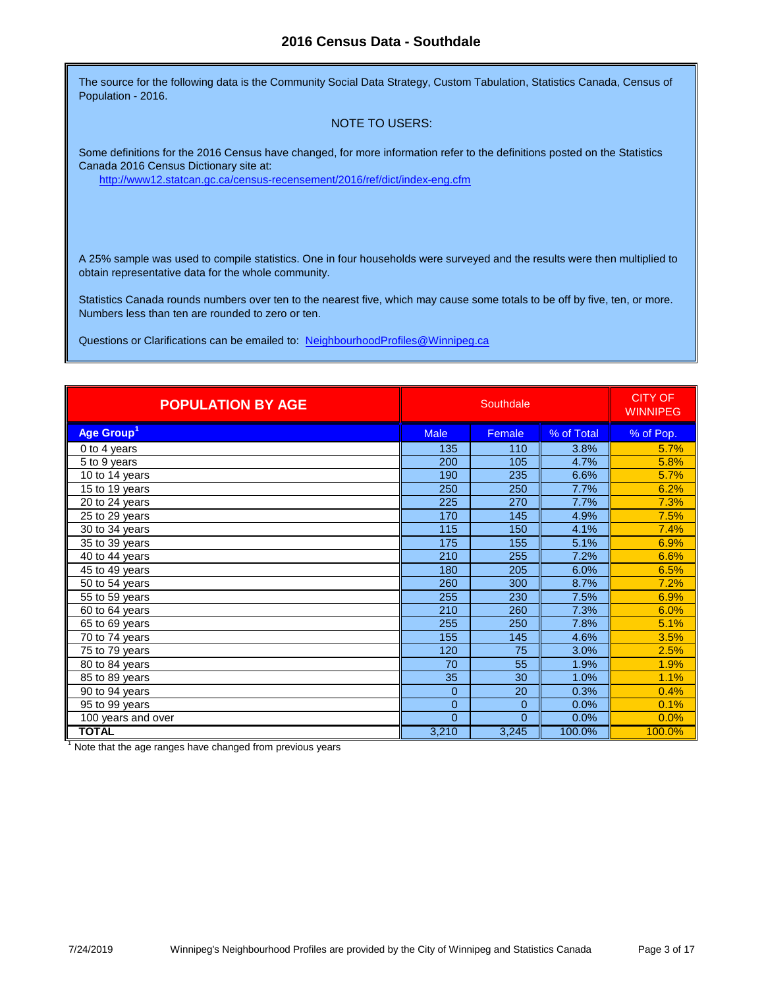The source for the following data is the Community Social Data Strategy, Custom Tabulation, Statistics Canada, Census of Population - 2016.

#### NOTE TO USERS:

Some definitions for the 2016 Census have changed, for more information refer to the definitions posted on the Statistics Canada 2016 Census Dictionary site at:

[http://www12.statcan.gc.ca/census-recensement/2016/ref/dict/](http://www12.statcan.gc.ca/census-recensement/2016/ref/dict/index-eng.cfm)index-eng.cfm

A 25% sample was used to compile statistics. One in four households were surveyed and the results were then multiplied to obtain representative data for the whole community.

Statistics Canada rounds numbers over ten to the nearest five, which may cause some totals to be off by five, ten, or more. Numbers less than ten are rounded to zero or ten.

[Questions or Clarifications can be emailed to: NeighbourhoodProf](mailto:NeighbourhoodProfiles@Winnipeg.ca)iles@Winnipeg.ca

| <b>POPULATION BY AGE</b>    |                |                | <b>CITY OF</b><br><b>WINNIPEG</b> |           |
|-----------------------------|----------------|----------------|-----------------------------------|-----------|
| Age Group <sup>1</sup>      | <b>Male</b>    | Female         | % of Total                        | % of Pop. |
| 0 to 4 years                | 135            | 110            | 3.8%                              | 5.7%      |
| 5 to 9 years                | 200            | 105            | 4.7%                              | 5.8%      |
| 10 to 14 years              | 190            | 235            | 6.6%                              | 5.7%      |
| $\overline{15}$ to 19 years | 250            | 250            | 7.7%                              | 6.2%      |
| 20 to 24 years              | 225            | 270            | 7.7%                              | 7.3%      |
| 25 to 29 years              | 170            | 145            | 4.9%                              | 7.5%      |
| 30 to 34 years              | 115            | 150            | 4.1%                              | 7.4%      |
| 35 to 39 years              | 175            | 155            | 5.1%                              | 6.9%      |
| 40 to 44 years              | 210            | 255            | 7.2%                              | 6.6%      |
| 45 to 49 years              | 180            | 205            | 6.0%                              | 6.5%      |
| 50 to 54 years              | 260            | 300            | 8.7%                              | 7.2%      |
| 55 to 59 years              | 255            | 230            | 7.5%                              | 6.9%      |
| 60 to 64 years              | 210            | 260            | 7.3%                              | 6.0%      |
| 65 to 69 years              | 255            | 250            | 7.8%                              | 5.1%      |
| 70 to 74 years              | 155            | 145            | 4.6%                              | 3.5%      |
| 75 to 79 years              | 120            | 75             | 3.0%                              | 2.5%      |
| 80 to 84 years              | 70             | 55             | 1.9%                              | 1.9%      |
| 85 to 89 years              | 35             | 30             | 1.0%                              | 1.1%      |
| 90 to 94 years              | $\overline{0}$ | 20             | 0.3%                              | 0.4%      |
| 95 to 99 years              | $\overline{0}$ | $\overline{0}$ | 0.0%                              | 0.1%      |
| 100 years and over          | $\overline{0}$ | $\overline{0}$ | 0.0%                              | 0.0%      |
| <b>TOTAL</b>                | 3,210          | 3,245          | 100.0%                            | 100.0%    |

 $1$  Note that the age ranges have changed from previous years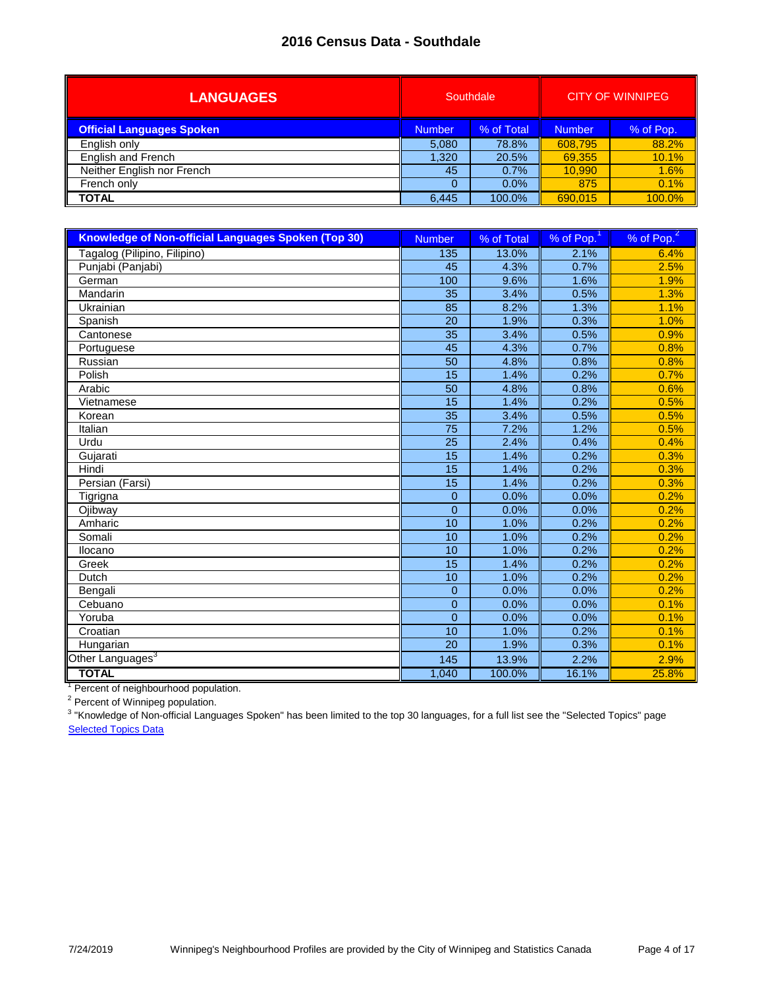| <b>LANGUAGES</b>                 | Southdale     |            | <b>CITY OF WINNIPEG</b> |           |
|----------------------------------|---------------|------------|-------------------------|-----------|
| <b>Official Languages Spoken</b> | <b>Number</b> | % of Total | <b>Number</b>           | % of Pop. |
| English only                     | 5,080         | 78.8%      | 608,795                 | 88.2%     |
| English and French               | 1,320         | 20.5%      | 69,355                  | 10.1%     |
| Neither English nor French       | 45            | 0.7%       | 10,990                  | 1.6%      |
| French only                      | 0             | 0.0%       | 875                     | 0.1%      |
| <b>TOTAL</b>                     | 6.445         | 100.0%     | 690.015                 | 100.0%    |

| <b>Knowledge of Non-official Languages Spoken (Top 30)</b> | <b>Number</b>   | % of Total | % of Pop. <sup>1</sup> | % of Pop. <sup>2</sup> |
|------------------------------------------------------------|-----------------|------------|------------------------|------------------------|
| Tagalog (Pilipino, Filipino)                               | 135             | 13.0%      | 2.1%                   | 6.4%                   |
| Punjabi (Panjabi)                                          | 45              | 4.3%       | 0.7%                   | 2.5%                   |
| German                                                     | 100             | 9.6%       | 1.6%                   | 1.9%                   |
| Mandarin                                                   | 35              | 3.4%       | 0.5%                   | 1.3%                   |
| Ukrainian                                                  | 85              | 8.2%       | 1.3%                   | 1.1%                   |
| Spanish                                                    | 20              | 1.9%       | 0.3%                   | 1.0%                   |
| Cantonese                                                  | 35              | 3.4%       | 0.5%                   | 0.9%                   |
| Portuguese                                                 | 45              | 4.3%       | 0.7%                   | 0.8%                   |
| Russian                                                    | 50              | 4.8%       | 0.8%                   | 0.8%                   |
| Polish                                                     | $\overline{15}$ | 1.4%       | 0.2%                   | 0.7%                   |
| Arabic                                                     | 50              | 4.8%       | 0.8%                   | 0.6%                   |
| Vietnamese                                                 | 15              | 1.4%       | 0.2%                   | 0.5%                   |
| Korean                                                     | $\overline{35}$ | 3.4%       | 0.5%                   | 0.5%                   |
| Italian                                                    | 75              | 7.2%       | 1.2%                   | 0.5%                   |
| Urdu                                                       | $\overline{25}$ | 2.4%       | 0.4%                   | 0.4%                   |
| Gujarati                                                   | $\overline{15}$ | 1.4%       | 0.2%                   | 0.3%                   |
| Hindi                                                      | 15              | 1.4%       | 0.2%                   | 0.3%                   |
| Persian (Farsi)                                            | 15              | 1.4%       | 0.2%                   | 0.3%                   |
| Tigrigna                                                   | $\mathbf 0$     | 0.0%       | 0.0%                   | 0.2%                   |
| Ojibway                                                    | $\overline{0}$  | 0.0%       | 0.0%                   | 0.2%                   |
| Amharic                                                    | 10              | 1.0%       | 0.2%                   | 0.2%                   |
| Somali                                                     | 10              | 1.0%       | 0.2%                   | 0.2%                   |
| Ilocano                                                    | 10              | 1.0%       | 0.2%                   | 0.2%                   |
| Greek                                                      | $\overline{15}$ | 1.4%       | 0.2%                   | 0.2%                   |
| Dutch                                                      | 10              | 1.0%       | 0.2%                   | 0.2%                   |
| Bengali                                                    | $\overline{0}$  | 0.0%       | 0.0%                   | 0.2%                   |
| Cebuano                                                    | $\overline{0}$  | 0.0%       | 0.0%                   | 0.1%                   |
| Yoruba                                                     | $\overline{0}$  | 0.0%       | 0.0%                   | 0.1%                   |
| Croatian                                                   | 10              | 1.0%       | 0.2%                   | 0.1%                   |
| Hungarian                                                  | 20              | 1.9%       | 0.3%                   | 0.1%                   |
| Other Languages <sup>3</sup>                               | 145             | 13.9%      | 2.2%                   | 2.9%                   |
| <b>TOTAL</b>                                               | 1,040           | 100.0%     | 16.1%                  | 25.8%                  |

<sup>1</sup> Percent of neighbourhood population.

<sup>2</sup> Percent of Winnipeg population.

<sup>3</sup> "Knowledge of Non-official Languages Spoken" has been limited to the top 30 languages, for a full list see the "Selected Topics" page **[Selected Topics Data](http://winnipeg.ca/census/2016/Selected Topics/default.asp)**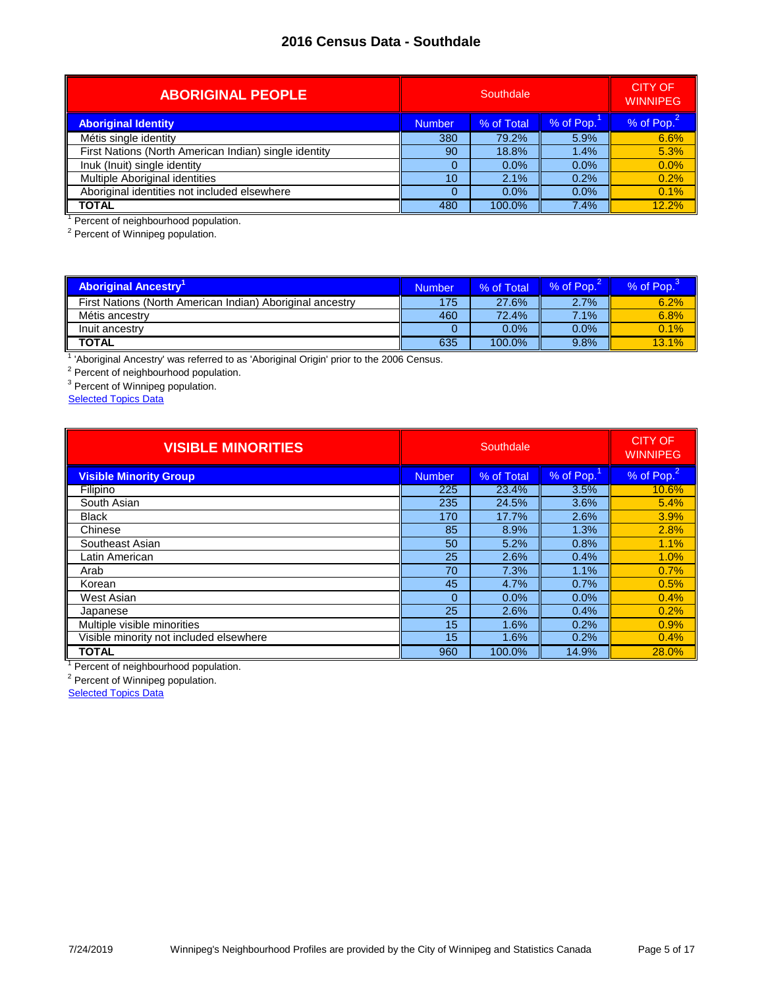| <b>ABORIGINAL PEOPLE</b>                              |               | <b>CITY OF</b><br><b>WINNIPEG</b> |           |           |
|-------------------------------------------------------|---------------|-----------------------------------|-----------|-----------|
| <b>Aboriginal Identity</b>                            | <b>Number</b> | % of Total                        | % of Pop. | % of Pop. |
| Métis single identity                                 | 380           | 79.2%                             | 5.9%      | 6.6%      |
| First Nations (North American Indian) single identity | 90            | 18.8%                             | $1.4\%$   | 5.3%      |
| Inuk (Inuit) single identity                          | 0             | 0.0%                              | $0.0\%$   | 0.0%      |
| Multiple Aboriginal identities                        | 10            | 2.1%                              | 0.2%      | 0.2%      |
| Aboriginal identities not included elsewhere          | 0             | 0.0%                              | $0.0\%$   | 0.1%      |
| <b>TOTAL</b>                                          | 480           | 100.0%                            | 7.4%      | 12.2%     |

<sup>1</sup> Percent of neighbourhood population.<br><sup>2</sup> Percent of Winnipeg population.

| <b>Aboriginal Ancestry'</b>                               | <b>Number</b> | % of Total | % of Pop. | % of Pop. |
|-----------------------------------------------------------|---------------|------------|-----------|-----------|
| First Nations (North American Indian) Aboriginal ancestry | 175           | 27.6%      | 2.7%      | 6.2%      |
| Métis ancestry                                            | 460           | 72.4%      | 7.1%      | 6.8%      |
| Inuit ancestry                                            |               | 0.0%       | $0.0\%$   | 0.1%      |
| <b>TOTAL</b>                                              | 635           | 100.0%     | 9.8%      | 13.1%     |

<sup>1</sup> 'Aboriginal Ancestry' was referred to as 'Aboriginal Origin' prior to the 2006 Census.

<sup>2</sup> Percent of neighbourhood population.<br><sup>3</sup> Percent of Winnipeg population.

[Selected Topics Data](http://winnipeg.ca/census/2016/Selected Topics/default.asp)

| <b>VISIBLE MINORITIES</b>               |               |            | <b>CITY OF</b><br><b>WINNIPEG</b> |                        |
|-----------------------------------------|---------------|------------|-----------------------------------|------------------------|
| <b>Visible Minority Group</b>           | <b>Number</b> | % of Total | % of Pop.                         | % of Pop. <sup>2</sup> |
| Filipino                                | 225           | 23.4%      | 3.5%                              | 10.6%                  |
| South Asian                             | 235           | 24.5%      | 3.6%                              | 5.4%                   |
| <b>Black</b>                            | 170           | 17.7%      | 2.6%                              | 3.9%                   |
| Chinese                                 | 85            | 8.9%       | 1.3%                              | 2.8%                   |
| Southeast Asian                         | 50            | 5.2%       | 0.8%                              | 1.1%                   |
| Latin American                          | 25            | 2.6%       | 0.4%                              | 1.0%                   |
| Arab                                    | 70            | 7.3%       | 1.1%                              | 0.7%                   |
| Korean                                  | 45            | 4.7%       | 0.7%                              | 0.5%                   |
| West Asian                              | 0             | 0.0%       | 0.0%                              | 0.4%                   |
| Japanese                                | 25            | 2.6%       | 0.4%                              | 0.2%                   |
| Multiple visible minorities             | 15            | 1.6%       | 0.2%                              | 0.9%                   |
| Visible minority not included elsewhere | 15            | 1.6%       | 0.2%                              | 0.4%                   |
| <b>TOTAL</b>                            | 960           | 100.0%     | 14.9%                             | 28.0%                  |

<sup>1</sup> Percent of neighbourhood population.

<sup>2</sup> Percent of Winnipeg population.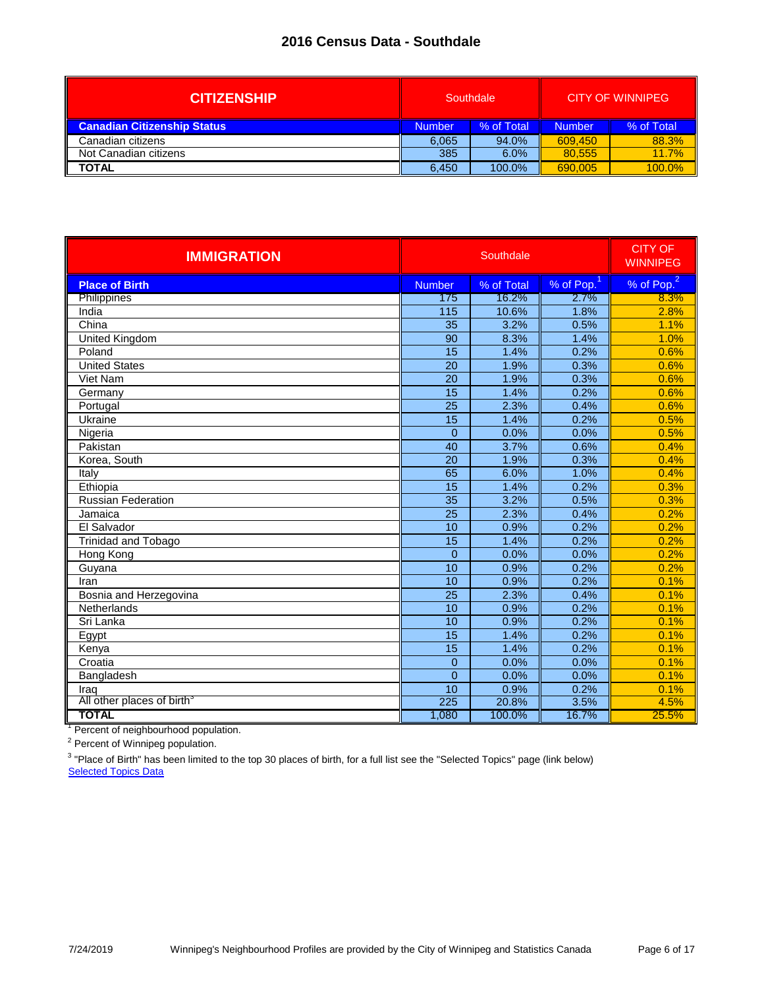| <b>CITIZENSHIP</b>                 | Southdale     |            |               | <b>CITY OF WINNIPEG</b> |
|------------------------------------|---------------|------------|---------------|-------------------------|
| <b>Canadian Citizenship Status</b> | <b>Number</b> | % of Total | <b>Number</b> | % of Total              |
| Canadian citizens                  | 6,065         | 94.0%      | 609.450       | 88.3%                   |
| Not Canadian citizens              | 385           | 6.0%       | 80.555        | 11.7%                   |
| <b>TOTAL</b>                       | 6.450         | 100.0%     | 690.005       | 100.0%                  |

| <b>IMMIGRATION</b>                                             |                  | Southdale  |                        | <b>CITY OF</b><br><b>WINNIPEG</b> |
|----------------------------------------------------------------|------------------|------------|------------------------|-----------------------------------|
| <b>Place of Birth</b>                                          | <b>Number</b>    | % of Total | % of Pop. <sup>1</sup> | $%$ of Pop. $2$                   |
| Philippines                                                    | 175              | 16.2%      | 2.7%                   | 8.3%                              |
| India                                                          | 115              | 10.6%      | 1.8%                   | 2.8%                              |
| China                                                          | $\overline{35}$  | 3.2%       | 0.5%                   | 1.1%                              |
| <b>United Kingdom</b>                                          | 90               | 8.3%       | 1.4%                   | 1.0%                              |
| Poland                                                         | $\overline{15}$  | 1.4%       | 0.2%                   | 0.6%                              |
| <b>United States</b>                                           | 20               | 1.9%       | 0.3%                   | 0.6%                              |
| <b>Viet Nam</b>                                                | $\overline{20}$  | 1.9%       | 0.3%                   | 0.6%                              |
| Germany                                                        | $\overline{15}$  | 1.4%       | 0.2%                   | 0.6%                              |
| Portugal                                                       | $\overline{25}$  | 2.3%       | 0.4%                   | 0.6%                              |
| Ukraine                                                        | $\overline{15}$  | 1.4%       | 0.2%                   | 0.5%                              |
| Nigeria                                                        | $\overline{0}$   | 0.0%       | 0.0%                   | 0.5%                              |
| Pakistan                                                       | 40               | 3.7%       | 0.6%                   | 0.4%                              |
| Korea, South                                                   | 20               | 1.9%       | 0.3%                   | 0.4%                              |
| Italy                                                          | 65               | 6.0%       | 1.0%                   | 0.4%                              |
| Ethiopia                                                       | 15               | 1.4%       | 0.2%                   | 0.3%                              |
| <b>Russian Federation</b>                                      | 35               | 3.2%       | 0.5%                   | 0.3%                              |
| Jamaica                                                        | 25               | 2.3%       | 0.4%                   | 0.2%                              |
| El Salvador                                                    | 10               | 0.9%       | 0.2%                   | 0.2%                              |
| <b>Trinidad and Tobago</b>                                     | $\overline{15}$  | 1.4%       | 0.2%                   | 0.2%                              |
| Hong Kong                                                      | $\overline{0}$   | 0.0%       | 0.0%                   | 0.2%                              |
| Guyana                                                         | 10               | 0.9%       | 0.2%                   | 0.2%                              |
| Iran                                                           | 10               | 0.9%       | 0.2%                   | 0.1%                              |
| Bosnia and Herzegovina                                         | 25               | 2.3%       | 0.4%                   | 0.1%                              |
| Netherlands                                                    | 10               | 0.9%       | 0.2%                   | 0.1%                              |
| Sri Lanka                                                      | 10               | 0.9%       | 0.2%                   | 0.1%                              |
| Egypt                                                          | $\overline{15}$  | 1.4%       | 0.2%                   | 0.1%                              |
| Kenya                                                          | $\overline{15}$  | 1.4%       | 0.2%                   | 0.1%                              |
| Croatia                                                        | $\overline{0}$   | 0.0%       | 0.0%                   | 0.1%                              |
| Bangladesh                                                     | $\overline{0}$   | 0.0%       | 0.0%                   | 0.1%                              |
| Iraq                                                           | 10               | 0.9%       | 0.2%                   | 0.1%                              |
| All other places of birth <sup>3</sup>                         | $\overline{225}$ | 20.8%      | 3.5%                   | 4.5%                              |
| <b>TOTAL</b><br>$\cdot$ $\cdot$ $\cdot$<br>$\overline{\cdots}$ | 1,080            | 100.0%     | 16.7%                  | 25.5%                             |

<sup>1</sup> Percent of neighbourhood population.

<sup>2</sup> Percent of Winnipeg population.

**[Selected Topics Data](http://winnipeg.ca/census/2016/Selected Topics/default.asp)** <sup>3</sup> "Place of Birth" has been limited to the top 30 places of birth, for a full list see the "Selected Topics" page (link below)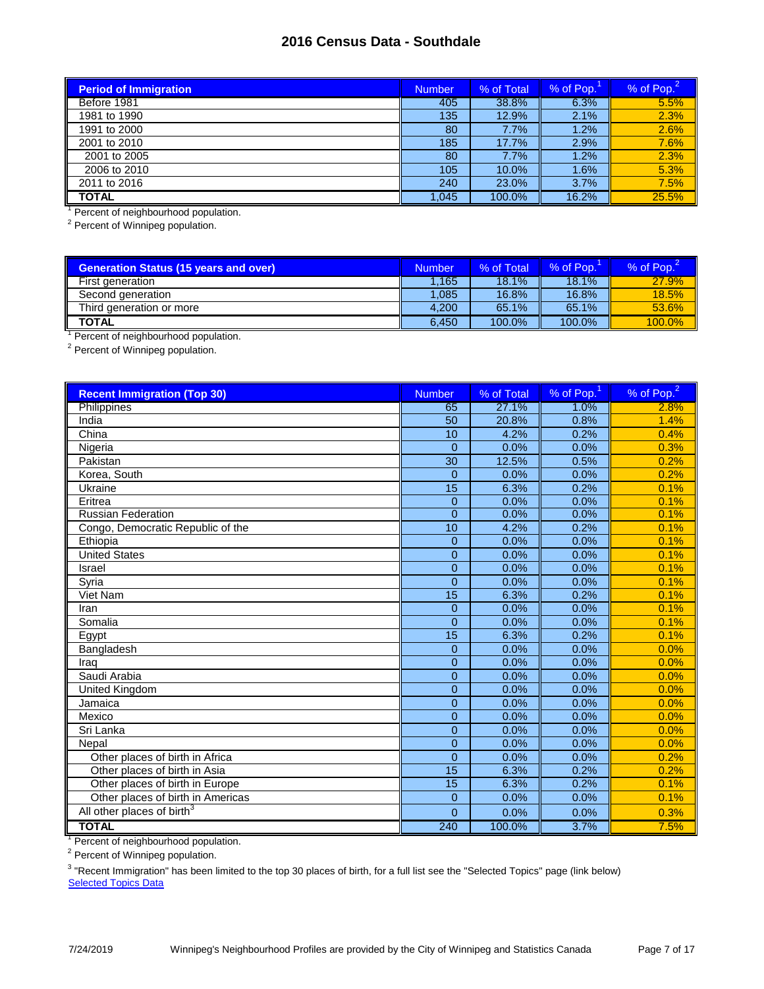| <b>Period of Immigration</b> | Number | % of Total | % of Pop. | % of $Pop.$ |
|------------------------------|--------|------------|-----------|-------------|
| Before 1981                  | 405    | 38.8%      | 6.3%      | 5.5%        |
| 1981 to 1990                 | 135    | 12.9%      | 2.1%      | 2.3%        |
| 1991 to 2000                 | 80     | 7.7%       | 1.2%      | 2.6%        |
| 2001 to 2010                 | 185    | 17.7%      | 2.9%      | 7.6%        |
| 2001 to 2005                 | 80     | 7.7%       | 1.2%      | 2.3%        |
| 2006 to 2010                 | 105    | 10.0%      | 1.6%      | 5.3%        |
| 2011 to 2016                 | 240    | 23.0%      | 3.7%      | 7.5%        |
| <b>TOTAL</b>                 | 1,045  | 100.0%     | 16.2%     | 25.5%       |

<sup>1</sup> Percent of neighbourhood population.

<sup>2</sup> Percent of Winnipeg population.

| <b>Number</b> | % of Total | % of Pop. | % of Pop. |
|---------------|------------|-----------|-----------|
| .165          | 18.1%      | $18.1\%$  | 27.9%     |
| 1.085         | 16.8%      | 16.8%     | 18.5%     |
| 4.200         | 65.1%      | 65.1%     | 53.6%     |
| 6.450         | 100.0%     | 100.0%    | 100.0%    |
|               |            |           |           |

<sup>1</sup> Percent of neighbourhood population.<br><sup>2</sup> Percent of Winnipeg population.

| <b>Recent Immigration (Top 30)</b>     | <b>Number</b>   | % of Total | $%$ of Pop. $1$ | % of Pop. <sup>2</sup> |
|----------------------------------------|-----------------|------------|-----------------|------------------------|
| Philippines                            | 65              | 27.1%      | $1.0\%$         | 2.8%                   |
| India                                  | 50              | 20.8%      | 0.8%            | 1.4%                   |
| China                                  | 10              | 4.2%       | 0.2%            | 0.4%                   |
| Nigeria                                | $\Omega$        | 0.0%       | 0.0%            | 0.3%                   |
| Pakistan                               | 30              | 12.5%      | 0.5%            | 0.2%                   |
| Korea, South                           | $\overline{0}$  | 0.0%       | 0.0%            | 0.2%                   |
| Ukraine                                | $\overline{15}$ | 6.3%       | 0.2%            | 0.1%                   |
| Eritrea                                | $\overline{0}$  | 0.0%       | 0.0%            | 0.1%                   |
| <b>Russian Federation</b>              | $\overline{0}$  | 0.0%       | 0.0%            | 0.1%                   |
| Congo, Democratic Republic of the      | 10              | 4.2%       | 0.2%            | 0.1%                   |
| Ethiopia                               | $\overline{0}$  | 0.0%       | 0.0%            | 0.1%                   |
| <b>United States</b>                   | $\overline{0}$  | 0.0%       | 0.0%            | 0.1%                   |
| Israel                                 | $\overline{0}$  | 0.0%       | 0.0%            | 0.1%                   |
| Syria                                  | $\overline{0}$  | 0.0%       | 0.0%            | 0.1%                   |
| Viet Nam                               | $\overline{15}$ | 6.3%       | 0.2%            | 0.1%                   |
| Iran                                   | $\overline{0}$  | 0.0%       | 0.0%            | 0.1%                   |
| Somalia                                | $\overline{0}$  | 0.0%       | 0.0%            | 0.1%                   |
| Egypt                                  | 15              | 6.3%       | 0.2%            | 0.1%                   |
| Bangladesh                             | $\pmb{0}$       | 0.0%       | 0.0%            | 0.0%                   |
| Iraq                                   | $\overline{0}$  | 0.0%       | 0.0%            | 0.0%                   |
| Saudi Arabia                           | $\Omega$        | 0.0%       | 0.0%            | 0.0%                   |
| United Kingdom                         | $\overline{0}$  | 0.0%       | 0.0%            | 0.0%                   |
| Jamaica                                | $\overline{0}$  | 0.0%       | 0.0%            | 0.0%                   |
| Mexico                                 | $\mathbf{0}$    | 0.0%       | 0.0%            | 0.0%                   |
| Sri Lanka                              | $\overline{0}$  | 0.0%       | 0.0%            | 0.0%                   |
| Nepal                                  | $\overline{0}$  | 0.0%       | 0.0%            | 0.0%                   |
| Other places of birth in Africa        | $\overline{0}$  | 0.0%       | 0.0%            | 0.2%                   |
| Other places of birth in Asia          | 15              | 6.3%       | 0.2%            | 0.2%                   |
| Other places of birth in Europe        | 15              | 6.3%       | 0.2%            | 0.1%                   |
| Other places of birth in Americas      | $\overline{0}$  | 0.0%       | 0.0%            | 0.1%                   |
| All other places of birth <sup>3</sup> | $\overline{0}$  | 0.0%       | 0.0%            | 0.3%                   |
| <b>TOTAL</b>                           | 240             | 100.0%     | 3.7%            | 7.5%                   |

<sup>1</sup> Percent of neighbourhood population.

<sup>2</sup> Percent of Winnipeg population.

**[Selected Topics Data](http://winnipeg.ca/census/2016/Selected Topics/default.asp)** <sup>3</sup> "Recent Immigration" has been limited to the top 30 places of birth, for a full list see the "Selected Topics" page (link below)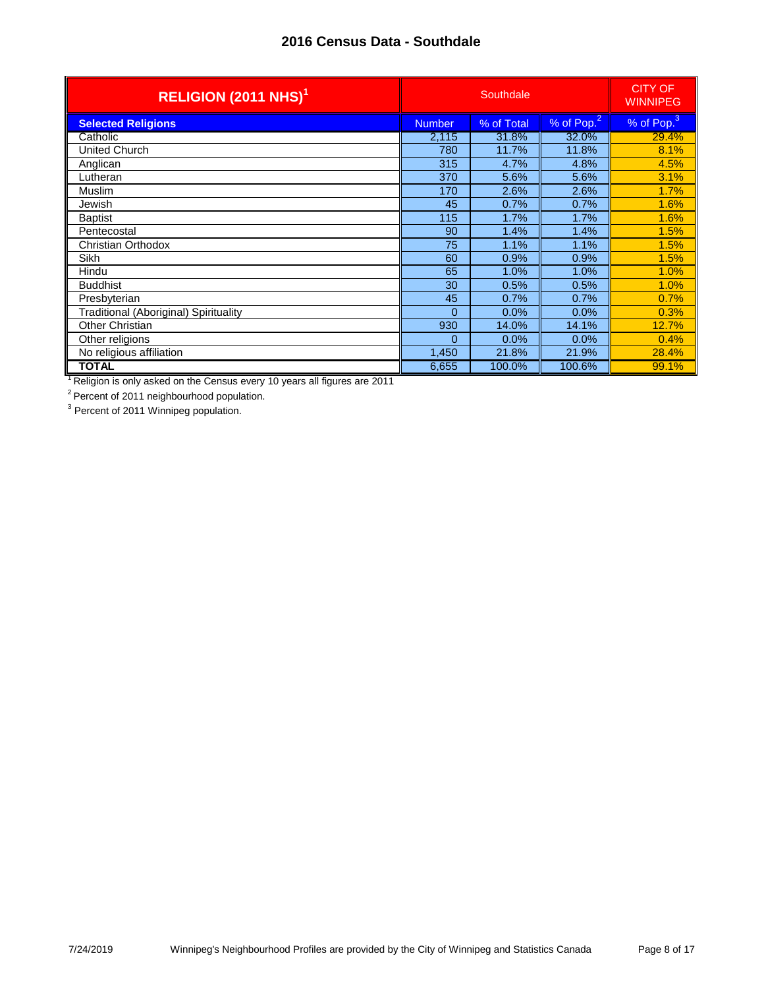| <b>RELIGION (2011 NHS)<sup>1</sup></b> |               |            | <b>CITY OF</b><br><b>WINNIPEG</b> |                        |
|----------------------------------------|---------------|------------|-----------------------------------|------------------------|
| <b>Selected Religions</b>              | <b>Number</b> | % of Total | % of Pop. <sup>2</sup>            | % of Pop. <sup>3</sup> |
| Catholic                               | 2,115         | 31.8%      | 32.0%                             | 29.4%                  |
| United Church                          | 780           | 11.7%      | 11.8%                             | 8.1%                   |
| Anglican                               | 315           | 4.7%       | 4.8%                              | 4.5%                   |
| Lutheran                               | 370           | 5.6%       | 5.6%                              | 3.1%                   |
| Muslim                                 | 170           | 2.6%       | 2.6%                              | 1.7%                   |
| Jewish                                 | 45            | 0.7%       | 0.7%                              | 1.6%                   |
| <b>Baptist</b>                         | 115           | 1.7%       | 1.7%                              | 1.6%                   |
| Pentecostal                            | 90            | 1.4%       | 1.4%                              | 1.5%                   |
| <b>Christian Orthodox</b>              | 75            | 1.1%       | 1.1%                              | 1.5%                   |
| Sikh                                   | 60            | 0.9%       | 0.9%                              | 1.5%                   |
| Hindu                                  | 65            | 1.0%       | 1.0%                              | 1.0%                   |
| <b>Buddhist</b>                        | 30            | 0.5%       | 0.5%                              | 1.0%                   |
| Presbyterian                           | 45            | 0.7%       | 0.7%                              | 0.7%                   |
| Traditional (Aboriginal) Spirituality  | $\Omega$      | 0.0%       | 0.0%                              | 0.3%                   |
| Other Christian                        | 930           | 14.0%      | 14.1%                             | 12.7%                  |
| Other religions                        | $\Omega$      | 0.0%       | 0.0%                              | 0.4%                   |
| No religious affiliation               | 1,450         | 21.8%      | 21.9%                             | 28.4%                  |
| <b>TOTAL</b>                           | 6,655         | 100.0%     | 100.6%                            | 99.1%                  |

<sup>1</sup> Religion is only asked on the Census every 10 years all figures are 2011

<sup>2</sup> Percent of 2011 neighbourhood population.<br><sup>3</sup> Percent of 2011 Winnipeg population.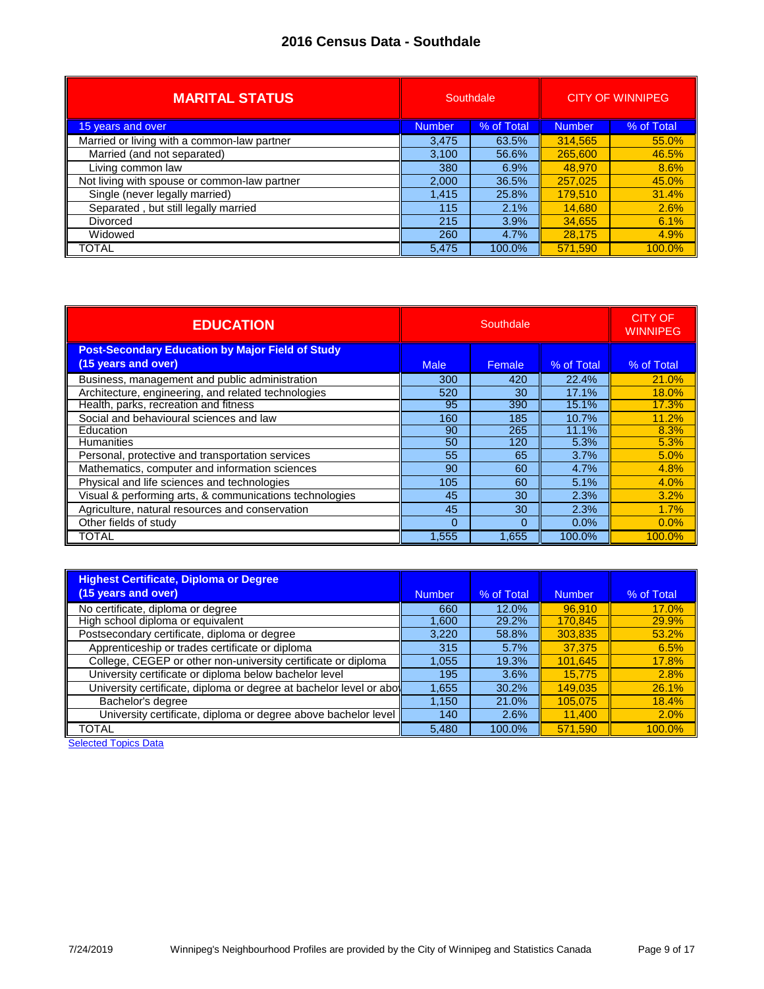| <b>MARITAL STATUS</b>                        | Southdale     |            | <b>CITY OF WINNIPEG</b> |            |
|----------------------------------------------|---------------|------------|-------------------------|------------|
| 15 years and over                            | <b>Number</b> | % of Total | Number                  | % of Total |
| Married or living with a common-law partner  | 3,475         | 63.5%      | 314,565                 | 55.0%      |
| Married (and not separated)                  | 3,100         | 56.6%      | 265,600                 | 46.5%      |
| Living common law                            | 380           | 6.9%       | 48.970                  | 8.6%       |
| Not living with spouse or common-law partner | 2,000         | 36.5%      | 257,025                 | 45.0%      |
| Single (never legally married)               | 1,415         | 25.8%      | 179,510                 | 31.4%      |
| Separated, but still legally married         | 115           | 2.1%       | 14,680                  | 2.6%       |
| <b>Divorced</b>                              | 215           | 3.9%       | 34,655                  | 6.1%       |
| Widowed                                      | 260           | 4.7%       | 28,175                  | 4.9%       |
| TOTAL                                        | 5,475         | 100.0%     | 571.590                 | $100.0\%$  |

| <b>EDUCATION</b>                                                               | Southdale   |          |            | <b>CITY OF</b><br><b>WINNIPEG</b> |
|--------------------------------------------------------------------------------|-------------|----------|------------|-----------------------------------|
| <b>Post-Secondary Education by Major Field of Study</b><br>(15 years and over) | <b>Male</b> | Female   | % of Total | % of Total                        |
|                                                                                |             |          |            |                                   |
| Business, management and public administration                                 | 300         | 420      | 22.4%      | 21.0%                             |
| Architecture, engineering, and related technologies                            | 520         | 30       | 17.1%      | 18.0%                             |
| Health, parks, recreation and fitness                                          | 95          | 390      | 15.1%      | <b>17.3%</b>                      |
| Social and behavioural sciences and law                                        | 160         | 185      | 10.7%      | 11.2%                             |
| Education                                                                      | 90          | 265      | 11.1%      | 8.3%                              |
| <b>Humanities</b>                                                              | 50          | 120      | 5.3%       | 5.3%                              |
| Personal, protective and transportation services                               | 55          | 65       | 3.7%       | 5.0%                              |
| Mathematics, computer and information sciences                                 | 90          | 60       | 4.7%       | 4.8%                              |
| Physical and life sciences and technologies                                    | 105         | 60       | 5.1%       | 4.0%                              |
| Visual & performing arts, & communications technologies                        | 45          | 30       | 2.3%       | 3.2%                              |
| Agriculture, natural resources and conservation                                | 45          | 30       | 2.3%       | 1.7%                              |
| Other fields of study                                                          | $\Omega$    | $\Omega$ | 0.0%       | 0.0%                              |
| TOTAL                                                                          | 1,555       | 1.655    | 100.0%     | 100.0%                            |

| <b>Highest Certificate, Diploma or Degree</b>                      |        |            |         |            |
|--------------------------------------------------------------------|--------|------------|---------|------------|
| (15 years and over)                                                | Number | % of Total | Number  | % of Total |
| No certificate, diploma or degree                                  | 660    | 12.0%      | 96.910  | 17.0%      |
| High school diploma or equivalent                                  | 1.600  | 29.2%      | 170,845 | 29.9%      |
| Postsecondary certificate, diploma or degree                       | 3,220  | 58.8%      | 303.835 | 53.2%      |
| Apprenticeship or trades certificate or diploma                    | 315    | 5.7%       | 37.375  | 6.5%       |
| College, CEGEP or other non-university certificate or diploma      | 1,055  | 19.3%      | 101,645 | 17.8%      |
| University certificate or diploma below bachelor level             | 195    | 3.6%       | 15.775  | 2.8%       |
| University certificate, diploma or degree at bachelor level or abo | 1,655  | 30.2%      | 149.035 | 26.1%      |
| Bachelor's degree                                                  | 1,150  | 21.0%      | 105,075 | 18.4%      |
| University certificate, diploma or degree above bachelor level     | 140    | 2.6%       | 11,400  | 2.0%       |
| TOTAL                                                              | 5,480  | 100.0%     | 571.590 | 100.0%     |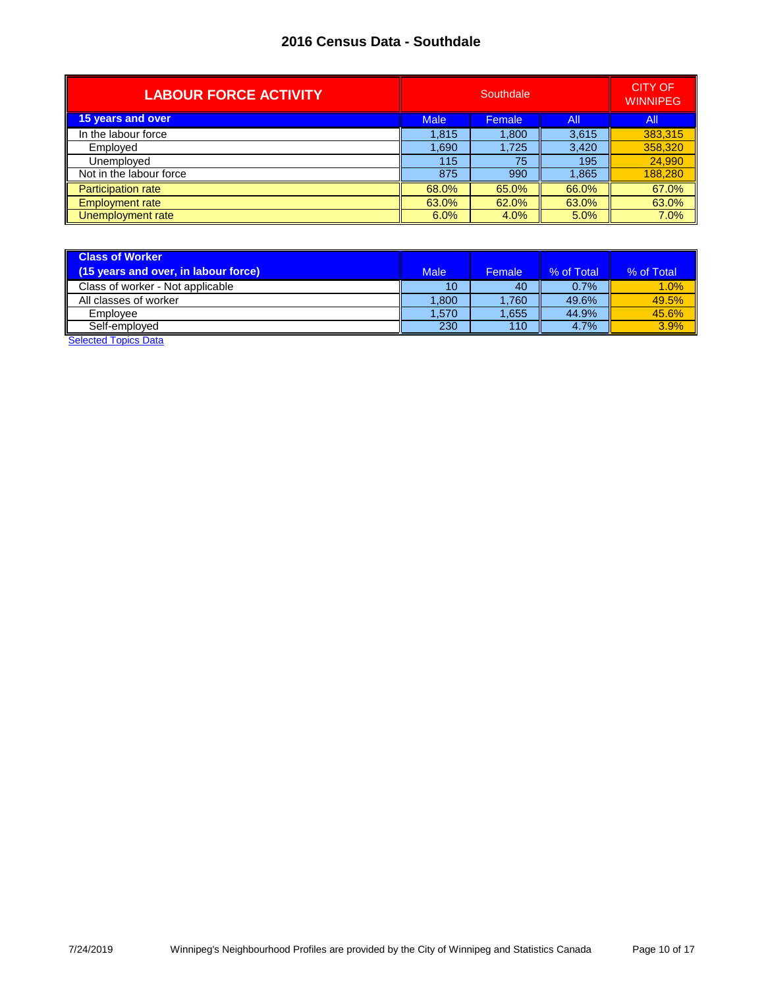| <b>LABOUR FORCE ACTIVITY</b> | Southdale   |        |       | <b>CITY OF</b><br><b>WINNIPEG</b> |
|------------------------------|-------------|--------|-------|-----------------------------------|
| 15 years and over            | <b>Male</b> | Female | All   | All                               |
| In the labour force          | 1.815       | 1,800  | 3,615 | 383,315                           |
| Emploved                     | 1,690       | 1,725  | 3,420 | 358,320                           |
| Unemployed                   | 115         | 75     | 195   | 24,990                            |
| Not in the labour force      | 875         | 990    | 1,865 | 188,280                           |
| Participation rate           | 68.0%       | 65.0%  | 66.0% | 67.0%                             |
| <b>Employment rate</b>       | 63.0%       | 62.0%  | 63.0% | 63.0%                             |
| Unemployment rate            | 6.0%        | 4.0%   | 5.0%  | 7.0%                              |

| <b>Class of Worker</b><br>(15 years and over, in labour force) | <b>Male</b> | Female | % of Total | % of Total |
|----------------------------------------------------------------|-------------|--------|------------|------------|
| Class of worker - Not applicable                               | 10          | 40     | 0.7%       | 1.0%       |
| All classes of worker                                          | 1.800       | 1.760  | 49.6%      | 49.5%      |
| Employee                                                       | 1.570       | 1.655  | 44.9%      | 45.6%      |
| Self-employed                                                  | 230         | 110    | 4.7%       | 3.9%       |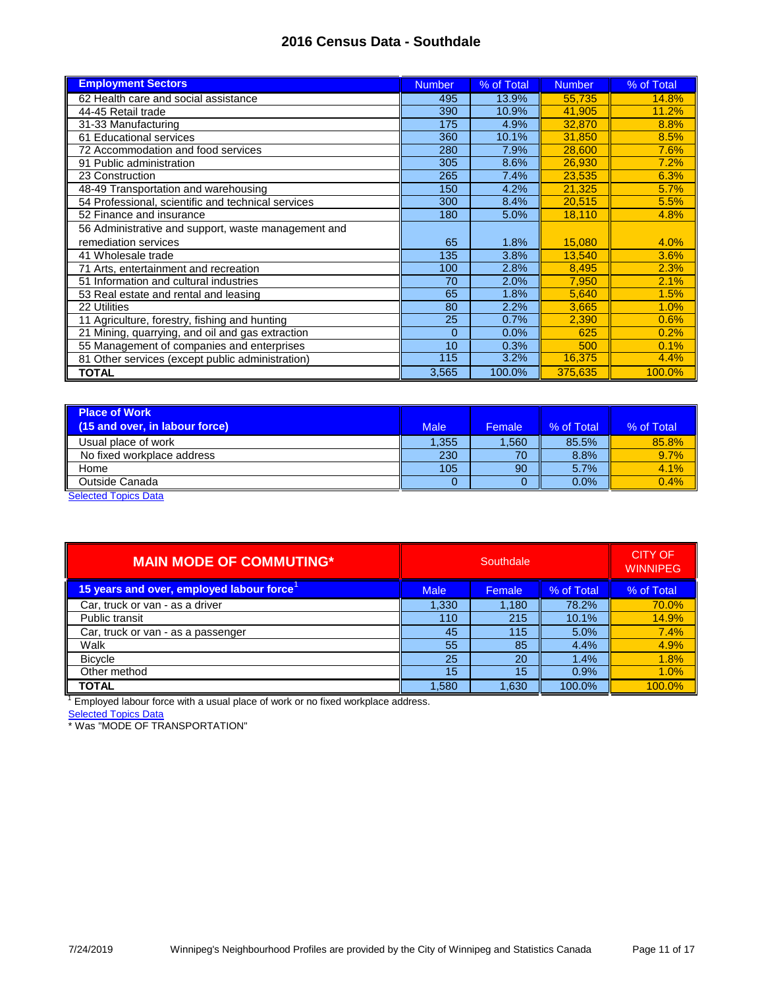| <b>Employment Sectors</b>                           | <b>Number</b> | % of Total | <b>Number</b> | % of Total |
|-----------------------------------------------------|---------------|------------|---------------|------------|
| 62 Health care and social assistance                | 495           | 13.9%      | 55,735        | 14.8%      |
| 44-45 Retail trade                                  | 390           | 10.9%      | 41,905        | 11.2%      |
| 31-33 Manufacturing                                 | 175           | 4.9%       | 32,870        | 8.8%       |
| 61 Educational services                             | 360           | 10.1%      | 31,850        | 8.5%       |
| 72 Accommodation and food services                  | 280           | 7.9%       | 28,600        | 7.6%       |
| 91 Public administration                            | 305           | 8.6%       | 26.930        | 7.2%       |
| 23 Construction                                     | 265           | 7.4%       | 23,535        | 6.3%       |
| 48-49 Transportation and warehousing                | 150           | 4.2%       | 21,325        | 5.7%       |
| 54 Professional, scientific and technical services  | 300           | 8.4%       | 20,515        | 5.5%       |
| 52 Finance and insurance                            | 180           | 5.0%       | 18,110        | 4.8%       |
| 56 Administrative and support, waste management and |               |            |               |            |
| remediation services                                | 65            | 1.8%       | 15,080        | 4.0%       |
| 41 Wholesale trade                                  | 135           | 3.8%       | 13.540        | 3.6%       |
| 71 Arts, entertainment and recreation               | 100           | 2.8%       | 8,495         | 2.3%       |
| 51 Information and cultural industries              | 70            | 2.0%       | 7,950         | 2.1%       |
| 53 Real estate and rental and leasing               | 65            | 1.8%       | 5,640         | 1.5%       |
| 22 Utilities                                        | 80            | 2.2%       | 3,665         | 1.0%       |
| 11 Agriculture, forestry, fishing and hunting       | 25            | 0.7%       | 2,390         | 0.6%       |
| 21 Mining, quarrying, and oil and gas extraction    | 0             | 0.0%       | 625           | 0.2%       |
| 55 Management of companies and enterprises          | 10            | 0.3%       | 500           | 0.1%       |
| 81 Other services (except public administration)    | 115           | 3.2%       | 16,375        | 4.4%       |
| <b>TOTAL</b>                                        | 3,565         | 100.0%     | 375,635       | 100.0%     |

| <b>Place of Work</b>           |             |        |            |            |
|--------------------------------|-------------|--------|------------|------------|
| (15 and over, in labour force) | <b>Male</b> | Female | % of Total | % of Total |
| Usual place of work            | l.355       | .560'  | 85.5%      | 85.8%      |
| No fixed workplace address     | 230         | 70     | 8.8%       | 9.7%       |
| Home                           | 105         | 90     | 5.7%       | 4.1%       |
| Outside Canada                 |             |        | 0.0%       | 0.4%       |

**[Selected Topics Data](http://winnipeg.ca/census/2016/Selected Topics/default.asp)** 

| <b>MAIN MODE OF COMMUTING*</b>           | Southdale                                  |       |        | <b>CITY OF</b><br><b>WINNIPEG</b> |
|------------------------------------------|--------------------------------------------|-------|--------|-----------------------------------|
| 15 years and over, employed labour force | <b>Female</b><br>% of Total<br><b>Male</b> |       |        | % of Total                        |
| Car, truck or van - as a driver          | 1,330                                      | 1,180 | 78.2%  | 70.0%                             |
| Public transit                           | 110                                        | 215   | 10.1%  | 14.9%                             |
| Car, truck or van - as a passenger       | 45                                         | 115   | 5.0%   | 7.4%                              |
| Walk                                     | 55                                         | 85    | 4.4%   | 4.9%                              |
| <b>Bicycle</b>                           | 25                                         | 20    | 1.4%   | 1.8%                              |
| Other method                             | 15                                         | 15    | 0.9%   | 1.0%                              |
| <b>TOTAL</b>                             | 1,580                                      | 1.630 | 100.0% | 100.0%                            |

 $1$  Employed labour force with a usual place of work or no fixed workplace address.

**[Selected Topics Data](http://winnipeg.ca/census/2016/Selected Topics/default.asp)** 

\* Was "MODE OF TRANSPORTATION"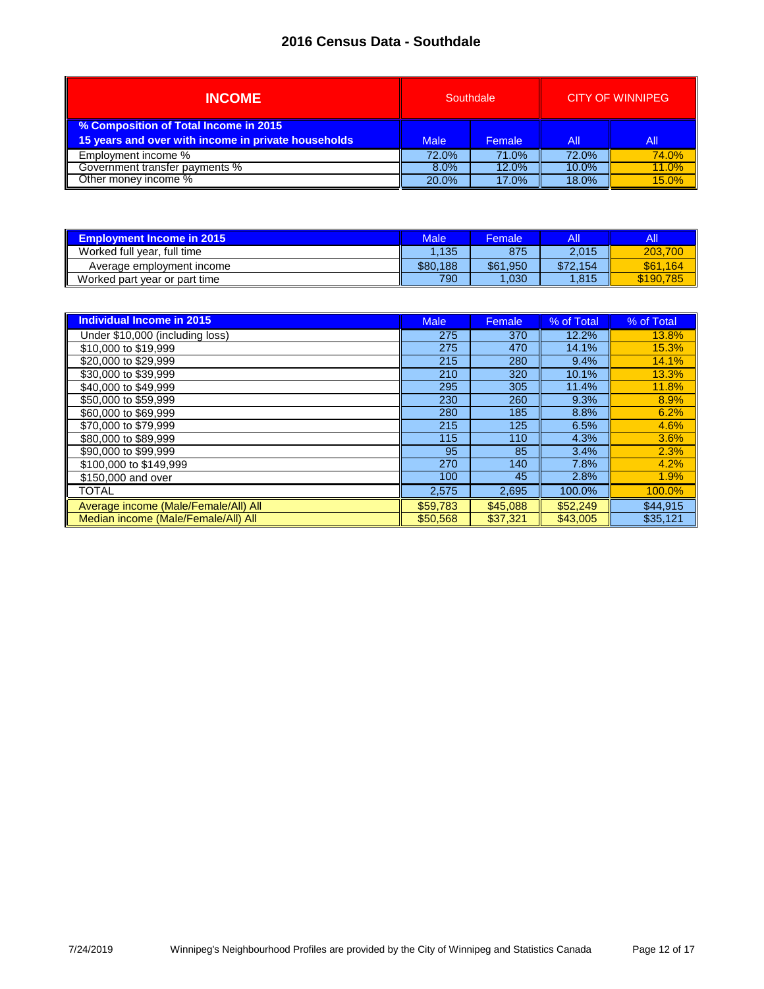| <b>INCOME</b>                                                                                | Southdale   |        |       | <b>CITY OF WINNIPEG</b> |
|----------------------------------------------------------------------------------------------|-------------|--------|-------|-------------------------|
| % Composition of Total Income in 2015<br>15 years and over with income in private households | <b>Male</b> | Female | All   | All                     |
| Employment income %                                                                          | 72.0%       | 71.0%  | 72.0% | 74.0%                   |
| Government transfer payments %                                                               | 8.0%        | 12.0%  | 10.0% | 11.0%                   |
| Other money income %                                                                         | 20.0%       | 17.0%  | 18.0% | 15.0%                   |

| <b>Employment Income in 2015</b> | Male     | Female       | IAII     | All       |
|----------------------------------|----------|--------------|----------|-----------|
| Worked full year, full time      | 1.135    | 875          | 2.015    | 203,700   |
| Average employment income        | \$80.188 | \$61<br>.950 | \$72.154 | \$61.164  |
| Worked part year or part time    | 790      | ,030         | .815     | \$190,785 |

| <b>Individual Income in 2015</b>     | <b>Male</b> | Female   | % of Total | % of Total |
|--------------------------------------|-------------|----------|------------|------------|
| Under \$10,000 (including loss)      | 275         | 370      | 12.2%      | 13.8%      |
| \$10,000 to \$19,999                 | 275         | 470      | 14.1%      | 15.3%      |
| \$20,000 to \$29.999                 | 215         | 280      | 9.4%       | 14.1%      |
| \$30,000 to \$39.999                 | 210         | 320      | 10.1%      | 13.3%      |
| \$40,000 to \$49,999                 | 295         | 305      | 11.4%      | 11.8%      |
| \$50,000 to \$59.999                 | 230         | 260      | 9.3%       | 8.9%       |
| \$60,000 to \$69,999                 | 280         | 185      | 8.8%       | 6.2%       |
| \$70,000 to \$79.999                 | 215         | 125      | 6.5%       | 4.6%       |
| \$80,000 to \$89,999                 | 115         | 110      | 4.3%       | 3.6%       |
| \$90,000 to \$99.999                 | 95          | 85       | 3.4%       | 2.3%       |
| \$100,000 to \$149,999               | 270         | 140      | 7.8%       | 4.2%       |
| \$150,000 and over                   | 100         | 45       | 2.8%       | 1.9%       |
| TOTAL                                | 2,575       | 2,695    | 100.0%     | 100.0%     |
| Average income (Male/Female/All) All | \$59,783    | \$45,088 | \$52,249   | \$44.915   |
| Median income (Male/Female/All) All  | \$50,568    | \$37.321 | \$43,005   | \$35,121   |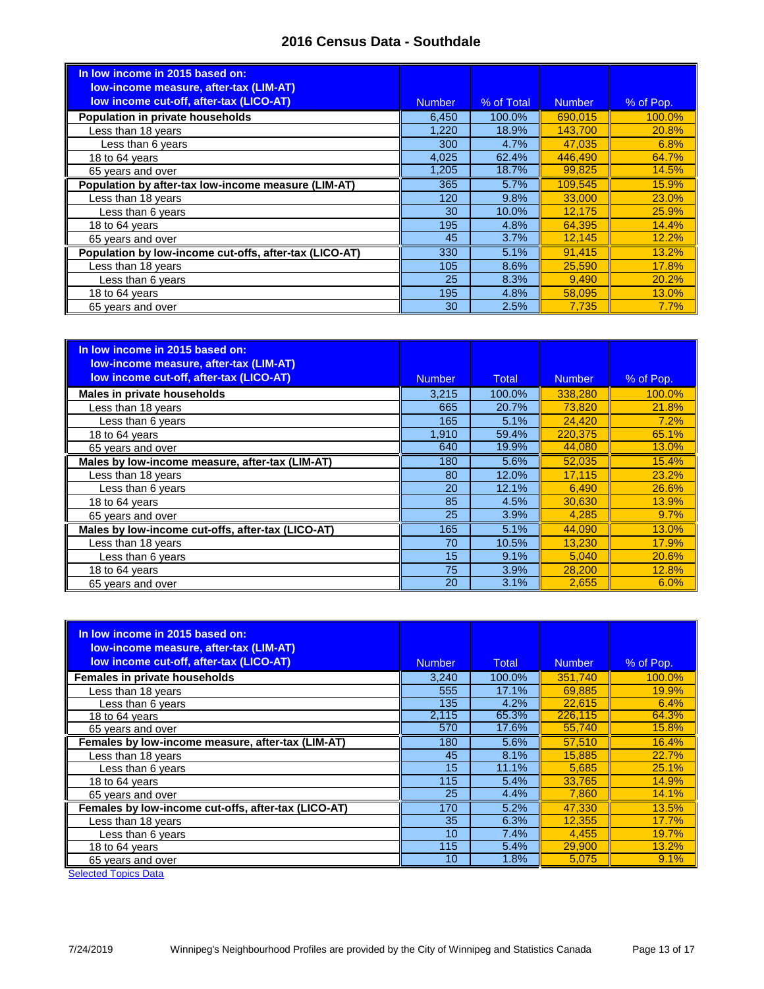| In low income in 2015 based on:<br>low-income measure, after-tax (LIM-AT) |               |            |               |           |
|---------------------------------------------------------------------------|---------------|------------|---------------|-----------|
| low income cut-off, after-tax (LICO-AT)                                   | <b>Number</b> | % of Total | <b>Number</b> | % of Pop. |
| Population in private households                                          | 6,450         | 100.0%     | 690.015       | 100.0%    |
| Less than 18 years                                                        | 1,220         | 18.9%      | 143.700       | 20.8%     |
| Less than 6 years                                                         | 300           | 4.7%       | 47.035        | 6.8%      |
| 18 to 64 years                                                            | 4,025         | 62.4%      | 446.490       | 64.7%     |
| 65 years and over                                                         | 1,205         | 18.7%      | 99,825        | 14.5%     |
| Population by after-tax low-income measure (LIM-AT)                       | 365           | 5.7%       | 109,545       | 15.9%     |
| Less than 18 years                                                        | 120           | 9.8%       | 33,000        | 23.0%     |
| Less than 6 years                                                         | 30            | 10.0%      | 12.175        | 25.9%     |
| 18 to 64 years                                                            | 195           | 4.8%       | 64.395        | 14.4%     |
| 65 years and over                                                         | 45            | 3.7%       | 12,145        | 12.2%     |
| Population by low-income cut-offs, after-tax (LICO-AT)                    | 330           | 5.1%       | 91,415        | 13.2%     |
| Less than 18 years                                                        | 105           | 8.6%       | 25,590        | 17.8%     |
| Less than 6 years                                                         | 25            | 8.3%       | 9.490         | 20.2%     |
| 18 to 64 years                                                            | 195           | 4.8%       | 58,095        | 13.0%     |
| 65 years and over                                                         | 30            | 2.5%       | 7.735         | 7.7%      |

| In low income in 2015 based on:<br>low-income measure, after-tax (LIM-AT) |               |              |               |           |
|---------------------------------------------------------------------------|---------------|--------------|---------------|-----------|
| low income cut-off, after-tax (LICO-AT)                                   | <b>Number</b> | <b>Total</b> | <b>Number</b> | % of Pop. |
| Males in private households                                               | 3,215         | 100.0%       | 338,280       | 100.0%    |
| Less than 18 years                                                        | 665           | 20.7%        | 73,820        | 21.8%     |
| Less than 6 years                                                         | 165           | 5.1%         | 24,420        | 7.2%      |
| 18 to 64 years                                                            | 1,910         | 59.4%        | 220.375       | 65.1%     |
| 65 years and over                                                         | 640           | 19.9%        | 44,080        | 13.0%     |
| Males by low-income measure, after-tax (LIM-AT)                           | 180           | 5.6%         | 52.035        | 15.4%     |
| Less than 18 years                                                        | 80            | 12.0%        | 17.115        | 23.2%     |
| Less than 6 years                                                         | 20            | 12.1%        | 6,490         | 26.6%     |
| 18 to 64 years                                                            | 85            | 4.5%         | 30.630        | 13.9%     |
| 65 years and over                                                         | 25            | 3.9%         | 4.285         | 9.7%      |
| Males by low-income cut-offs, after-tax (LICO-AT)                         | 165           | 5.1%         | 44.090        | 13.0%     |
| Less than 18 years                                                        | 70            | 10.5%        | 13.230        | 17.9%     |
| Less than 6 years                                                         | 15            | 9.1%         | 5.040         | 20.6%     |
| 18 to 64 years                                                            | 75            | 3.9%         | 28,200        | 12.8%     |
| 65 years and over                                                         | 20            | 3.1%         | 2.655         | 6.0%      |

| In low income in 2015 based on:<br>low-income measure, after-tax (LIM-AT)<br>low income cut-off, after-tax (LICO-AT) | <b>Number</b> | Total  | <b>Number</b> | % of Pop. |
|----------------------------------------------------------------------------------------------------------------------|---------------|--------|---------------|-----------|
| Females in private households                                                                                        | 3,240         | 100.0% | 351,740       | 100.0%    |
| Less than 18 years                                                                                                   | 555           | 17.1%  | 69.885        | 19.9%     |
| Less than 6 years                                                                                                    | 135           | 4.2%   | 22.615        | 6.4%      |
| 18 to 64 years                                                                                                       | 2,115         | 65.3%  | 226,115       | 64.3%     |
| 65 years and over                                                                                                    | 570           | 17.6%  | 55,740        | 15.8%     |
| Females by low-income measure, after-tax (LIM-AT)                                                                    | 180           | 5.6%   | 57.510        | 16.4%     |
| Less than 18 years                                                                                                   | 45            | 8.1%   | 15,885        | 22.7%     |
| Less than 6 years                                                                                                    | 15            | 11.1%  | 5.685         | 25.1%     |
| 18 to 64 years                                                                                                       | 115           | 5.4%   | 33.765        | 14.9%     |
| 65 years and over                                                                                                    | 25            | 4.4%   | 7.860         | 14.1%     |
| Females by low-income cut-offs, after-tax (LICO-AT)                                                                  | 170           | 5.2%   | 47.330        | 13.5%     |
| Less than 18 years                                                                                                   | 35            | 6.3%   | 12.355        | 17.7%     |
| Less than 6 years                                                                                                    | 10            | 7.4%   | 4,455         | 19.7%     |
| 18 to 64 years                                                                                                       | 115           | 5.4%   | 29,900        | 13.2%     |
| 65 years and over                                                                                                    | 10            | 1.8%   | 5,075         | 9.1%      |
| <b>Selected Topics Data</b>                                                                                          |               |        |               |           |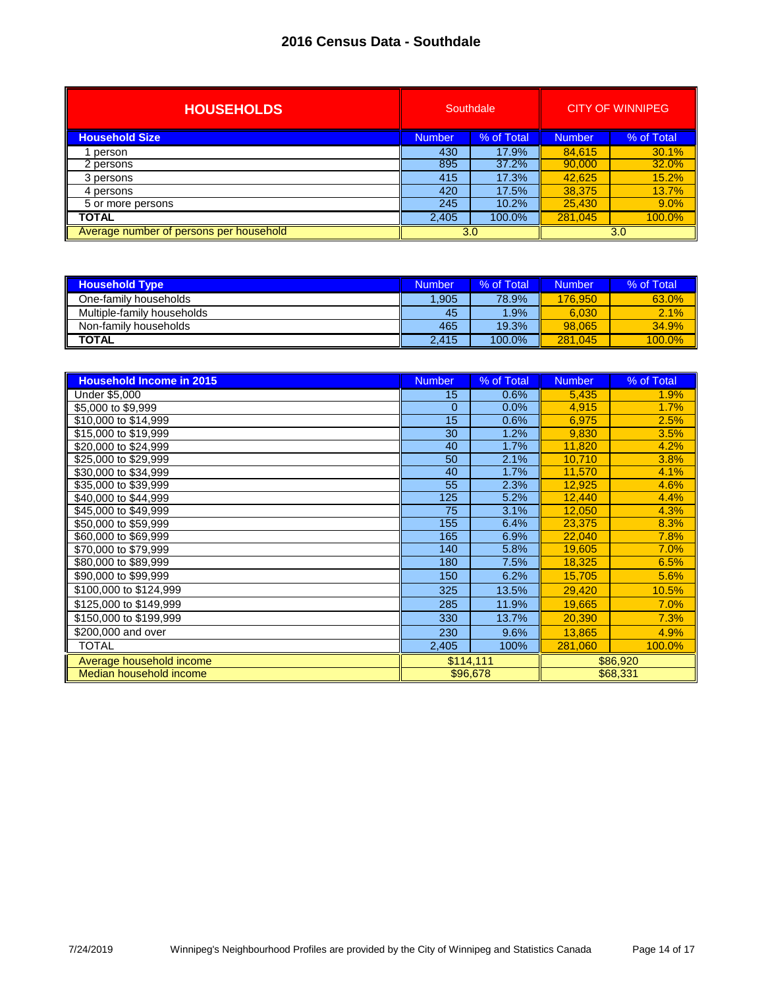| <b>HOUSEHOLDS</b>                       | Southdale       |            | <b>CITY OF WINNIPEG</b> |            |
|-----------------------------------------|-----------------|------------|-------------------------|------------|
| <b>Household Size</b>                   | Number          | % of Total | <b>Number</b>           | % of Total |
| person                                  | 430             | 17.9%      | 84.615                  | 30.1%      |
| 2 persons                               | 895             | 37.2%      | 90,000                  | 32.0%      |
| 3 persons                               | 415             | 17.3%      | 42,625                  | 15.2%      |
| 4 persons                               | 420             | 17.5%      | 38.375                  | 13.7%      |
| 5 or more persons                       | 245             | 10.2%      | 25.430                  | 9.0%       |
| <b>TOTAL</b>                            | 2,405<br>100.0% |            | 281.045                 | 100.0%     |
| Average number of persons per household | 3.0             |            |                         | 3.0        |

| <b>Household Type</b>      | Number | % of Total | <b>Number</b> | % of Total |
|----------------------------|--------|------------|---------------|------------|
| One-family households      | .905   | 78.9%      | 176,950       | 63.0%      |
| Multiple-family households | 45     | 1.9%       | 6.030         | 2.1%       |
| Non-family households      | 465    | 19.3%      | 98.065        | 34.9%      |
| <b>TOTAL</b>               | 2.415  | 100.0%     | 281.045       | $100.0\%$  |

| <b>Household Income in 2015</b> | <b>Number</b> | % of Total | <b>Number</b> | % of Total |
|---------------------------------|---------------|------------|---------------|------------|
| Under \$5,000                   | 15            | 0.6%       | 5,435         | 1.9%       |
| \$5,000 to \$9,999              | $\Omega$      | 0.0%       | 4,915         | 1.7%       |
| \$10,000 to \$14,999            | 15            | 0.6%       | 6,975         | 2.5%       |
| \$15,000 to \$19,999            | 30            | 1.2%       | 9,830         | 3.5%       |
| \$20,000 to \$24,999            | 40            | 1.7%       | 11,820        | 4.2%       |
| \$25,000 to \$29,999            | 50            | 2.1%       | 10,710        | 3.8%       |
| \$30,000 to \$34,999            | 40            | 1.7%       | 11,570        | 4.1%       |
| \$35,000 to \$39,999            | 55            | 2.3%       | 12,925        | 4.6%       |
| \$40,000 to \$44,999            | 125           | 5.2%       | 12,440        | 4.4%       |
| \$45,000 to \$49,999            | 75            | 3.1%       | 12,050        | 4.3%       |
| \$50,000 to \$59,999            | 155           | 6.4%       | 23,375        | 8.3%       |
| \$60,000 to \$69,999            | 165           | 6.9%       | 22,040        | 7.8%       |
| \$70,000 to \$79,999            | 140           | 5.8%       | 19,605        | 7.0%       |
| \$80,000 to \$89,999            | 180           | 7.5%       | 18,325        | 6.5%       |
| \$90,000 to \$99,999            | 150           | 6.2%       | 15,705        | 5.6%       |
| \$100,000 to \$124,999          | 325           | 13.5%      | 29,420        | 10.5%      |
| \$125,000 to \$149,999          | 285           | 11.9%      | 19,665        | 7.0%       |
| \$150,000 to \$199,999          | 330           | 13.7%      | 20,390        | 7.3%       |
| \$200,000 and over              | 230           | 9.6%       | 13,865        | 4.9%       |
| <b>TOTAL</b>                    | 2,405         | 100%       | 281,060       | 100.0%     |
| Average household income        | \$114,111     |            |               | \$86,920   |
| Median household income         |               | \$96,678   |               | \$68,331   |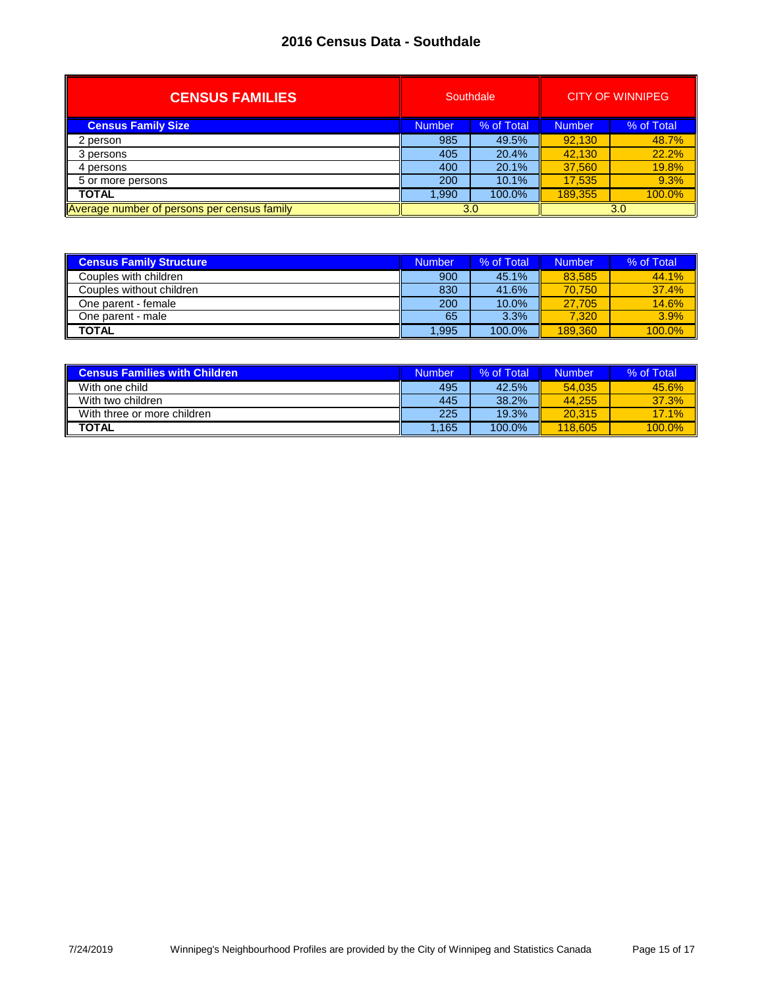| <b>CENSUS FAMILIES</b>                      | Southdale     |            |         | <b>CITY OF WINNIPEG</b> |
|---------------------------------------------|---------------|------------|---------|-------------------------|
| <b>Census Family Size</b>                   | <b>Number</b> | % of Total | Number  | % of Total              |
| 2 person                                    | 985           | 49.5%      | 92.130  | 48.7%                   |
| 3 persons                                   | 405           | 20.4%      | 42,130  | 22.2%                   |
| 4 persons                                   | 400           | 20.1%      | 37,560  | 19.8%                   |
| 5 or more persons                           | 200           | 10.1%      | 17.535  | 9.3%                    |
| <b>TOTAL</b>                                | 1.990         | 100.0%     | 189.355 | 100.0%                  |
| Average number of persons per census family |               | 3.0        |         | 3.0                     |

| <b>Census Family Structure</b> | Number | % of Total | <b>Number</b> | % of Total |
|--------------------------------|--------|------------|---------------|------------|
| Couples with children          | 900    | 45.1%      | 83.585        | 44.1%      |
| Couples without children       | 830    | 41.6%      | 70.750        | 37.4%      |
| One parent - female            | 200    | $10.0\%$   | 27.705        | 14.6%      |
| One parent - male              | 65     | 3.3%       | 7.320         | 3.9%       |
| <b>TOTAL</b>                   | .995   | 100.0%     | 189.360       | 100.0%     |

| <b>Census Families with Children</b> | <b>Number</b> | % of Total | <b>Number</b> | % of Total |
|--------------------------------------|---------------|------------|---------------|------------|
| With one child                       | 495           | 42.5%      | 54.035        | 45.6%      |
| With two children                    | 445           | 38.2%      | 44.255        | 37.3%      |
| With three or more children          | 225           | 19.3%      | 20.315        | 17.1%      |
| <b>TOTAL</b>                         | .165          | 100.0%     | 118,605       | 100.0%     |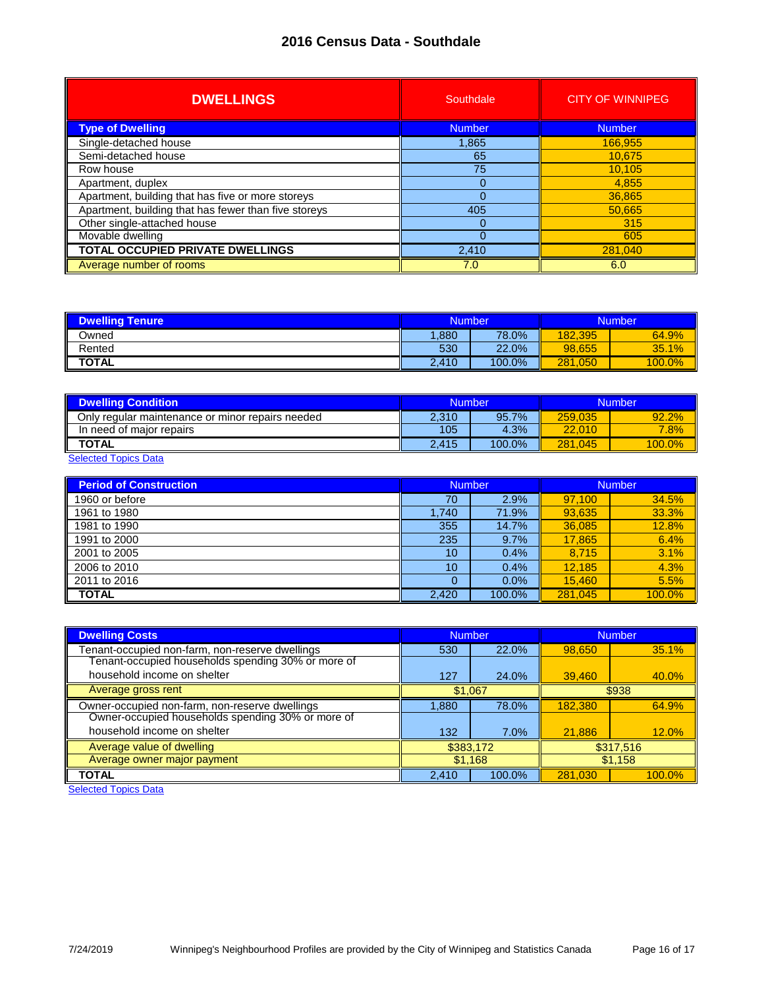| <b>DWELLINGS</b>                                     | Southdale     | <b>CITY OF WINNIPEG</b> |
|------------------------------------------------------|---------------|-------------------------|
| <b>Type of Dwelling</b>                              | <b>Number</b> | <b>Number</b>           |
| Single-detached house                                | 1.865         | 166.955                 |
| Semi-detached house                                  | 65            | 10,675                  |
| Row house                                            | 75            | 10.105                  |
| Apartment, duplex                                    |               | 4.855                   |
| Apartment, building that has five or more storeys    |               | 36,865                  |
| Apartment, building that has fewer than five storeys | 405           | 50,665                  |
| Other single-attached house                          |               | 315                     |
| Movable dwelling                                     |               | 605                     |
| <b>TOTAL OCCUPIED PRIVATE DWELLINGS</b>              | 2,410         | 281.040                 |
| Average number of rooms                              | 7.0           | 6.0                     |

| <b>Dwelling Tenure</b> | <b>Number</b> |        | <b>Number</b> |           |
|------------------------|---------------|--------|---------------|-----------|
| Owned                  | .880          | 78.0%  | 182.395       | 64.9%     |
| Rented                 | 530           | 22.0%  | 98.655        | 35.1%     |
| <b>TOTAL</b>           | 2.410         | 100.0% | 281.050       | $100.0\%$ |

| <b>Dwelling Condition</b>                        | <b>Number</b> |        | Number  |           |
|--------------------------------------------------|---------------|--------|---------|-----------|
| Only regular maintenance or minor repairs needed | 2.310         | 95.7%  | 259.035 | 92.2%     |
| In need of major repairs                         | 105           | 4.3%   | 22,010  | 7.8%      |
| <b>TOTAL</b>                                     | 2.415         | 100.0% | 281.045 | $100.0\%$ |

**[Selected Topics Data](http://winnipeg.ca/census/2016/Selected Topics/default.asp)** 

| <b>Period of Construction</b> | Number |        | Number  |        |
|-------------------------------|--------|--------|---------|--------|
| 1960 or before                | 70     | 2.9%   | 97.100  | 34.5%  |
| 1961 to 1980                  | 1,740  | 71.9%  | 93,635  | 33.3%  |
| 1981 to 1990                  | 355    | 14.7%  | 36,085  | 12.8%  |
| 1991 to 2000                  | 235    | 9.7%   | 17.865  | 6.4%   |
| 2001 to 2005                  | 10     | 0.4%   | 8,715   | 3.1%   |
| 2006 to 2010                  | 10     | 0.4%   | 12.185  | 4.3%   |
| 2011 to 2016                  | 0      | 0.0%   | 15.460  | 5.5%   |
| <b>TOTAL</b>                  | 2,420  | 100.0% | 281.045 | 100.0% |

| <b>Dwelling Costs</b>                              | <b>Number</b> |        | <b>Number</b> |        |
|----------------------------------------------------|---------------|--------|---------------|--------|
| Tenant-occupied non-farm, non-reserve dwellings    | 530           | 22.0%  | 98,650        | 35.1%  |
| Tenant-occupied households spending 30% or more of |               |        |               |        |
| household income on shelter                        | 127           | 24.0%  | 39,460        | 40.0%  |
| Average gross rent                                 | \$1,067       |        | \$938         |        |
| Owner-occupied non-farm, non-reserve dwellings     | 1.880         | 78.0%  | 182,380       | 64.9%  |
| Owner-occupied households spending 30% or more of  |               |        |               |        |
| household income on shelter                        | 132           | 7.0%   | 21,886        | 12.0%  |
| Average value of dwelling                          | \$383,172     |        | \$317,516     |        |
| Average owner major payment                        | \$1,168       |        | \$1,158       |        |
| <b>TOTAL</b>                                       | 2.410         | 100.0% | 281.030       | 100.0% |